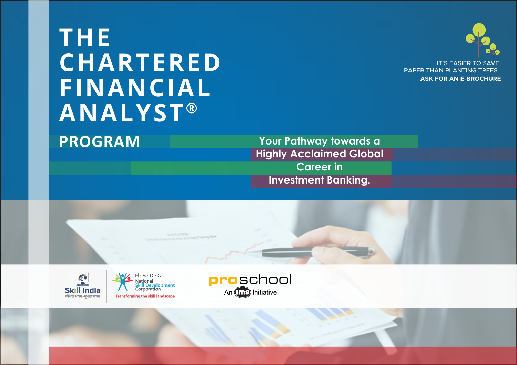# **THE CHARTERED FINANCIAL ANALYST ®**

**PROGRAM**

**Your Pathway towards a Highly Acclaimed Global Career in Investment Banking.**



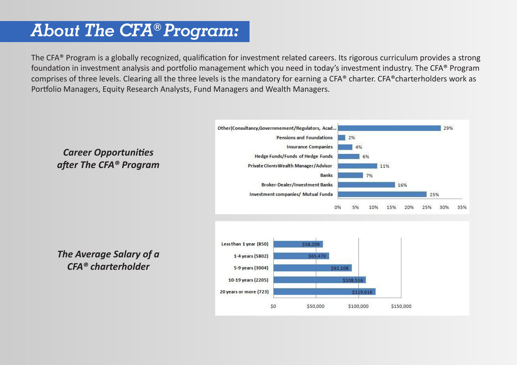## *About The CFA® Program:*

The CFA® Program is a globally recognized, qualification for investment related careers. Its rigorous curriculum provides a strong foundation in investment analysis and portfolio management which you need in today's investment industry. The CFA® Program comprises of three levels. Clearing all the three levels is the mandatory for earning a CFA® charter. CFA®charterholders work as Portfolio Managers, Equity Research Analysts, Fund Managers and Wealth Managers.

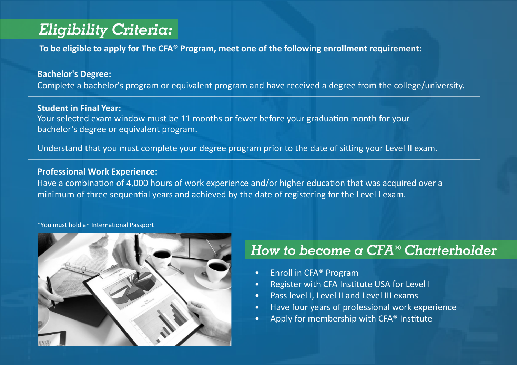## *Eligibility Criteria:*

**To be eligible to apply for The CFA® Program, meet one of the following enrollment requirement:**

#### **Bachelor's Degree:**

Complete a bachelor's program or equivalent program and have received a degree from the college/university.

#### **Student in Final Year:**

Your selected exam window must be 11 months or fewer before your graduation month for your bachelor's degree or equivalent program.

Understand that you must complete your degree program prior to the date of sitting your Level II exam.

#### **Professional Work Experience:**

Have a combination of 4,000 hours of work experience and/or higher education that was acquired over a minimum of three sequential years and achieved by the date of registering for the Level I exam.

#### \*You must hold an International Passport



## *How to become a CFA® Charterholder*

- Enroll in CFA<sup>®</sup> Program
- Register with CFA Institute USA for Level I
- Pass level I, Level II and Level III exams
- Have four years of professional work experience
- Apply for membership with CFA® Institute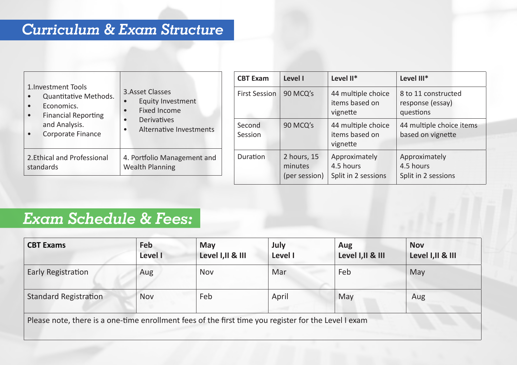## *Curriculum & Exam Structure*

|                                                                                                                    | 3. Asset Classes<br>Equity Investment<br>Fixed Income<br><b>Derivatives</b><br>Alternative Investments | <b>CBT Exam</b>      | Level I                                 | Level II*                                         | Level III*                                           |
|--------------------------------------------------------------------------------------------------------------------|--------------------------------------------------------------------------------------------------------|----------------------|-----------------------------------------|---------------------------------------------------|------------------------------------------------------|
| 1. Investment Tools<br>Quantitative Methods.<br>Economics.<br>$\bullet$<br><b>Financial Reporting</b><br>$\bullet$ |                                                                                                        | <b>First Session</b> | 90 MCQ's                                | 44 multiple choice<br>items based on<br>vignette  | 8 to 11 constructed<br>response (essay)<br>questions |
| and Analysis.<br>Corporate Finance<br>$\bullet$                                                                    |                                                                                                        | Second<br>Session    | 90 MCQ's                                | 44 multiple choice<br>items based on<br>vignette  | 44 multiple choice items<br>based on vignette        |
| 2. Ethical and Professional<br>standards                                                                           | 4. Portfolio Management and<br><b>Wealth Planning</b>                                                  | Duration             | 2 hours, 15<br>minutes<br>(per session) | Approximately<br>4.5 hours<br>Split in 2 sessions | Approximately<br>4.5 hours<br>Split in 2 sessions    |

## *Exam Schedule & Fees:*

| <b>CBT Exams</b>                                                                                     | Feb<br>Level I | May<br>Level I, II & III | July<br>Level I | Aug<br>Level I, II & III | <b>Nov</b><br>Level I, II & III |
|------------------------------------------------------------------------------------------------------|----------------|--------------------------|-----------------|--------------------------|---------------------------------|
| Early Registration                                                                                   | Aug            | Nov                      | Mar             | Feb                      | May                             |
| <b>Standard Registration</b>                                                                         | <b>Nov</b>     | Feb                      | April           | May                      | Aug                             |
| Please note, there is a one-time enrollment fees of the first time you register for the Level I exam |                |                          |                 |                          |                                 |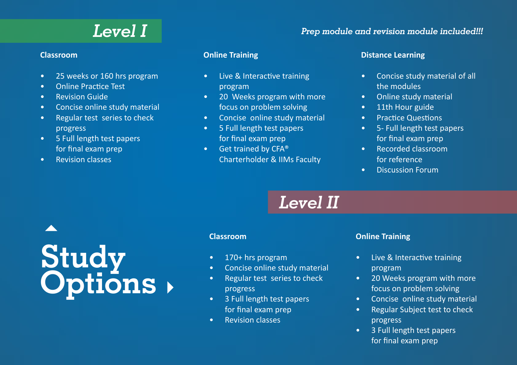#### **Classroom**

- 25 weeks or 160 hrs program
- Online Practice Test
- Revision Guide
- Concise online study material
- Regular test series to check progress
- 5 Full length test papers for final exam prep
- Revision classes

#### **Online Training**

- Live & Interactive training program
- 20 Weeks program with more focus on problem solving
- Concise online study material
- 5 Full length test papers for final exam prep
- Get trained by CFA® Charterholder & IIMs Faculty

#### **Distance Learning**

- Concise study material of all the modules
- Online study material
- 11th Hour guide
- Practice Questions
- 5- Full length test papers for final exam prep
- Recorded classroom for reference
- Discussion Forum

# *Level II*

# **Study Options**

#### **Classroom**

- 170+ hrs program
- Concise online study material
- Regular test series to check progress
- 3 Full length test papers for final exam prep
- Revision classes

#### **Online Training**

- Live & Interactive training program
- 20 Weeks program with more focus on problem solving
- Concise online study material
- Regular Subject test to check progress
- 3 Full length test papers for final exam prep

## *Level I Prep module and revision module included!!!*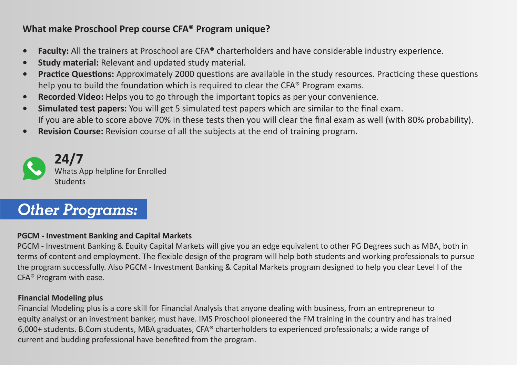#### **What make Proschool Prep course CFA® Program unique?**

- **• Faculty:** All the trainers at Proschool are CFA® charterholders and have considerable industry experience.
- **• Study material:** Relevant and updated study material.
- **• Practice Questions:** Approximately 2000 questions are available in the study resources. Practicing these questions help you to build the foundation which is required to clear the CFA® Program exams.
- **• Recorded Video:** Helps you to go through the important topics as per your convenience.
- **• Simulated test papers:** You will get 5 simulated test papers which are similar to the final exam. If you are able to score above 70% in these tests then you will clear the final exam as well (with 80% probability).
- **• Revision Course:** Revision course of all the subjects at the end of training program.



## *Other Programs:*

#### **PGCM - Investment Banking and Capital Markets**

PGCM - Investment Banking & Equity Capital Markets will give you an edge equivalent to other PG Degrees such as MBA, both in terms of content and employment. The flexible design of the program will help both students and working professionals to pursue the program successfully. Also PGCM - Investment Banking & Capital Markets program designed to help you clear Level I of the CFA® Program with ease.

#### **Financial Modeling plus**

Financial Modeling plus is a core skill for Financial Analysis that anyone dealing with business, from an entrepreneur to equity analyst or an investment banker, must have. IMS Proschool pioneered the FM training in the country and has trained 6,000+ students. B.Com students, MBA graduates, CFA® charterholders to experienced professionals; a wide range of current and budding professional have benefited from the program.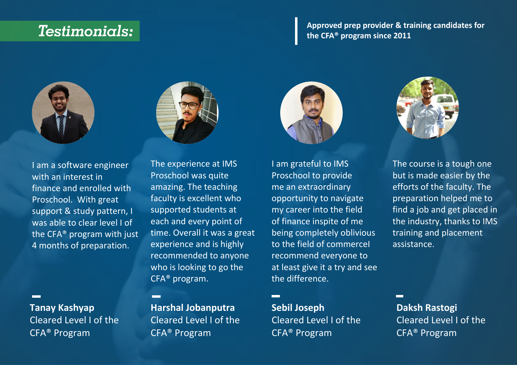## *Testimonials:*

#### **Approved prep provider & training candidates for the CFA® program since 2011**



I am a software engineer with an interest in finance and enrolled with Proschool. With great support & study pattern, I was able to clear level I of the CFA® program with just 4 months of preparation.

#### **Tanay Kashyap** Cleared Level I of the CFA® Program



The experience at IMS Proschool was quite amazing. The teaching faculty is excellent who supported students at each and every point of time. Overall it was a great experience and is highly recommended to anyone who is looking to go the CFA® program.

**Harshal Jobanputra** Cleared Level I of the CFA® Program



I am grateful to IMS Proschool to provide me an extraordinary opportunity to navigate my career into the field of finance inspite of me being completely oblivious to the field of commerceI recommend everyone to at least give it a try and see the difference.

**Sebil Joseph**  Cleared Level I of the CFA® Program



The course is a tough one but is made easier by the efforts of the faculty. The preparation helped me to find a job and get placed in the industry, thanks to IMS training and placement assistance.

**Daksh Rastogi** Cleared Level I of the CFA® Program